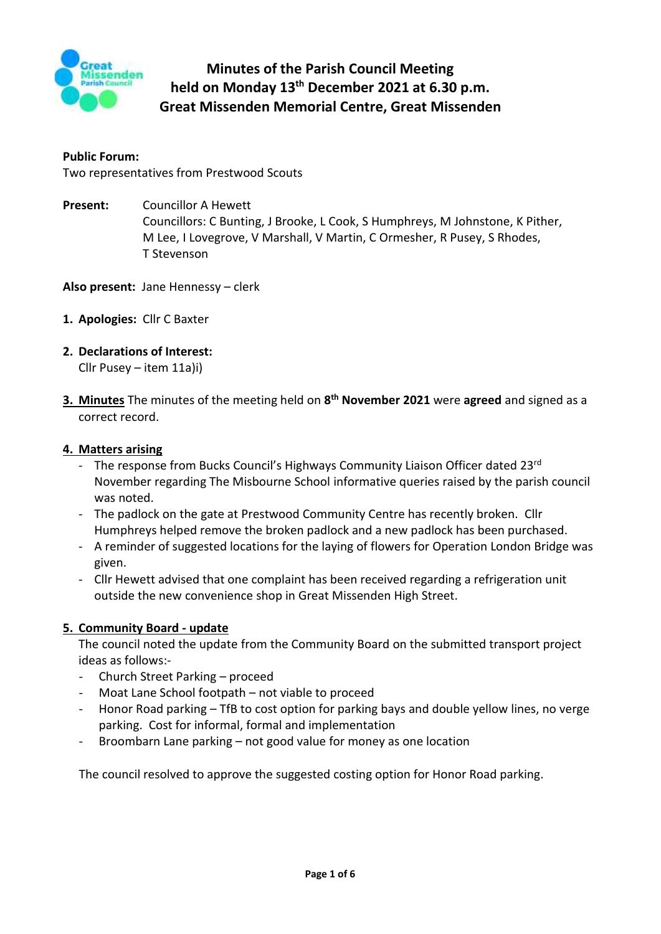

# **Minutes of the Parish Council Meeting held on Monday 13th December 2021 at 6.30 p.m. Great Missenden Memorial Centre, Great Missenden**

#### **Public Forum:**

Two representatives from Prestwood Scouts

**Present:** Councillor A Hewett Councillors: C Bunting, J Brooke, L Cook, S Humphreys, M Johnstone, K Pither, M Lee, I Lovegrove, V Marshall, V Martin, C Ormesher, R Pusey, S Rhodes, T Stevenson

**Also present:** Jane Hennessy – clerk

- **1. Apologies:** Cllr C Baxter
- **2. Declarations of Interest:**

Cllr Pusey – item 11a)i)

**3. Minutes** The minutes of the meeting held on **8 th November 2021** were **agreed** and signed as a correct record.

#### **4. Matters arising**

- The response from Bucks Council's Highways Community Liaison Officer dated 23rd November regarding The Misbourne School informative queries raised by the parish council was noted.
- The padlock on the gate at Prestwood Community Centre has recently broken. Cllr Humphreys helped remove the broken padlock and a new padlock has been purchased.
- A reminder of suggested locations for the laying of flowers for Operation London Bridge was given.
- Cllr Hewett advised that one complaint has been received regarding a refrigeration unit outside the new convenience shop in Great Missenden High Street.

#### **5. Community Board - update**

The council noted the update from the Community Board on the submitted transport project ideas as follows:-

- Church Street Parking proceed
- Moat Lane School footpath not viable to proceed
- Honor Road parking TfB to cost option for parking bays and double yellow lines, no verge parking. Cost for informal, formal and implementation
- Broombarn Lane parking not good value for money as one location

The council resolved to approve the suggested costing option for Honor Road parking.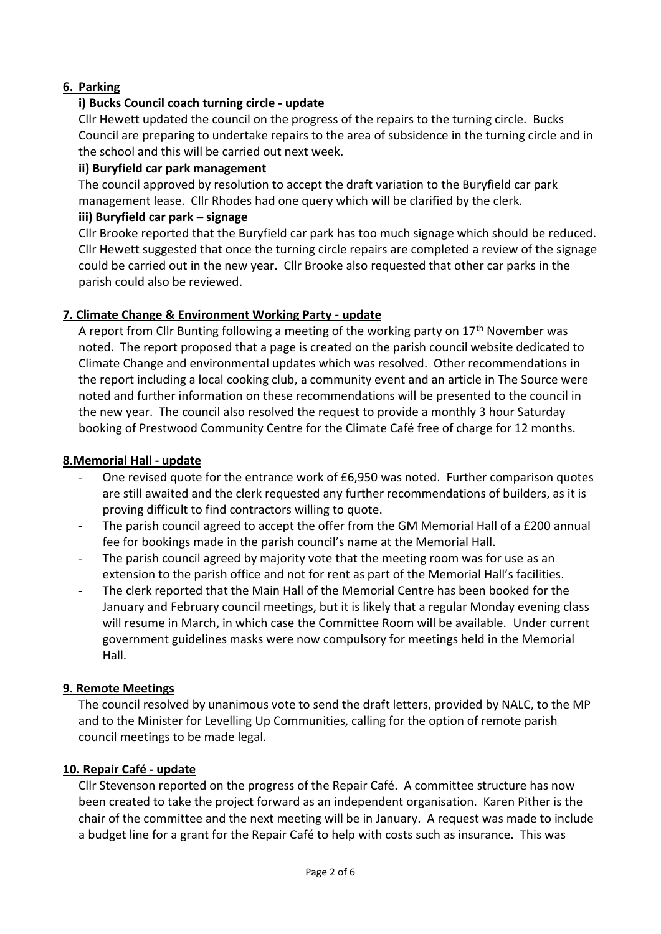### **6. Parking**

### **i) Bucks Council coach turning circle - update**

Cllr Hewett updated the council on the progress of the repairs to the turning circle. Bucks Council are preparing to undertake repairs to the area of subsidence in the turning circle and in the school and this will be carried out next week.

### **ii) Buryfield car park management**

The council approved by resolution to accept the draft variation to the Buryfield car park management lease. Cllr Rhodes had one query which will be clarified by the clerk.

### **iii) Buryfield car park – signage**

Cllr Brooke reported that the Buryfield car park has too much signage which should be reduced. Cllr Hewett suggested that once the turning circle repairs are completed a review of the signage could be carried out in the new year. Cllr Brooke also requested that other car parks in the parish could also be reviewed.

### **7. Climate Change & Environment Working Party - update**

A report from Cllr Bunting following a meeting of the working party on  $17<sup>th</sup>$  November was noted. The report proposed that a page is created on the parish council website dedicated to Climate Change and environmental updates which was resolved. Other recommendations in the report including a local cooking club, a community event and an article in The Source were noted and further information on these recommendations will be presented to the council in the new year. The council also resolved the request to provide a monthly 3 hour Saturday booking of Prestwood Community Centre for the Climate Café free of charge for 12 months.

#### **8.Memorial Hall - update**

- One revised quote for the entrance work of £6,950 was noted. Further comparison quotes are still awaited and the clerk requested any further recommendations of builders, as it is proving difficult to find contractors willing to quote.
- The parish council agreed to accept the offer from the GM Memorial Hall of a £200 annual fee for bookings made in the parish council's name at the Memorial Hall.
- The parish council agreed by majority vote that the meeting room was for use as an extension to the parish office and not for rent as part of the Memorial Hall's facilities.
- The clerk reported that the Main Hall of the Memorial Centre has been booked for the January and February council meetings, but it is likely that a regular Monday evening class will resume in March, in which case the Committee Room will be available. Under current government guidelines masks were now compulsory for meetings held in the Memorial Hall.

### **9. Remote Meetings**

The council resolved by unanimous vote to send the draft letters, provided by NALC, to the MP and to the Minister for Levelling Up Communities, calling for the option of remote parish council meetings to be made legal.

### **10. Repair Café - update**

Cllr Stevenson reported on the progress of the Repair Café. A committee structure has now been created to take the project forward as an independent organisation. Karen Pither is the chair of the committee and the next meeting will be in January. A request was made to include a budget line for a grant for the Repair Café to help with costs such as insurance. This was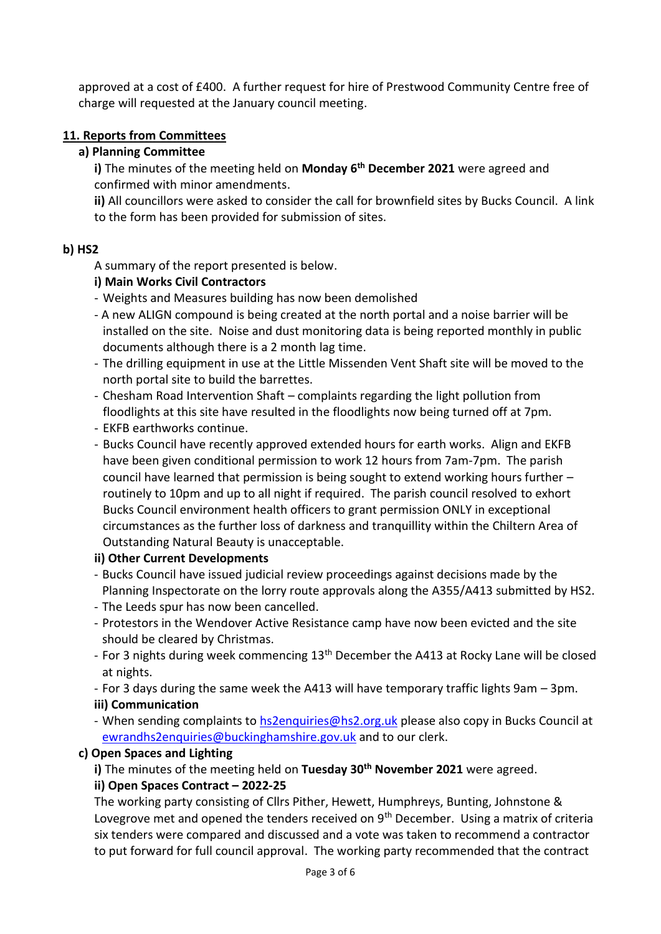approved at a cost of £400. A further request for hire of Prestwood Community Centre free of charge will requested at the January council meeting.

### **11. Reports from Committees**

### **a) Planning Committee**

**i)** The minutes of the meeting held on **Monday 6 th December 2021** were agreed and confirmed with minor amendments.

**ii)** All councillors were asked to consider the call for brownfield sites by Bucks Council. A link to the form has been provided for submission of sites.

### **b) HS2**

A summary of the report presented is below.

### **i) Main Works Civil Contractors**

- Weights and Measures building has now been demolished
- A new ALIGN compound is being created at the north portal and a noise barrier will be installed on the site. Noise and dust monitoring data is being reported monthly in public documents although there is a 2 month lag time.
- The drilling equipment in use at the Little Missenden Vent Shaft site will be moved to the north portal site to build the barrettes.
- Chesham Road Intervention Shaft complaints regarding the light pollution from floodlights at this site have resulted in the floodlights now being turned off at 7pm.
- EKFB earthworks continue.
- Bucks Council have recently approved extended hours for earth works. Align and EKFB have been given conditional permission to work 12 hours from 7am-7pm. The parish council have learned that permission is being sought to extend working hours further – routinely to 10pm and up to all night if required. The parish council resolved to exhort Bucks Council environment health officers to grant permission ONLY in exceptional circumstances as the further loss of darkness and tranquillity within the Chiltern Area of Outstanding Natural Beauty is unacceptable.

### **ii) Other Current Developments**

- Bucks Council have issued judicial review proceedings against decisions made by the Planning Inspectorate on the lorry route approvals along the A355/A413 submitted by HS2.
- The Leeds spur has now been cancelled.
- Protestors in the Wendover Active Resistance camp have now been evicted and the site should be cleared by Christmas.
- For 3 nights during week commencing 13<sup>th</sup> December the A413 at Rocky Lane will be closed at nights.
- For 3 days during the same week the A413 will have temporary traffic lights 9am 3pm. **iii) Communication**
- When sending complaints to [hs2enquiries@hs2.org.uk](mailto:hs2enquiries@hs2.org.uk) please also copy in Bucks Council at [ewrandhs2enquiries@buckinghamshire.gov.uk](mailto:ewrandhs2enquiries@buckinghamshire.gov.uk) and to our clerk.

### **c) Open Spaces and Lighting**

**i)** The minutes of the meeting held on **Tuesday 30th November 2021** were agreed.

#### **ii) Open Spaces Contract – 2022-25**

The working party consisting of Cllrs Pither, Hewett, Humphreys, Bunting, Johnstone & Lovegrove met and opened the tenders received on  $9<sup>th</sup>$  December. Using a matrix of criteria six tenders were compared and discussed and a vote was taken to recommend a contractor to put forward for full council approval. The working party recommended that the contract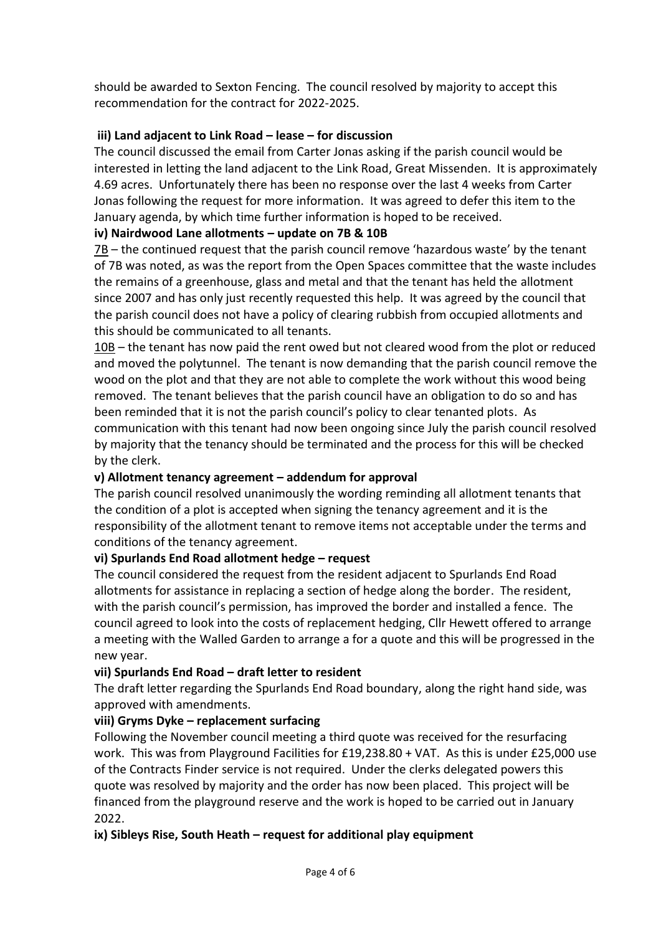should be awarded to Sexton Fencing. The council resolved by majority to accept this recommendation for the contract for 2022-2025.

### **iii) Land adjacent to Link Road – lease – for discussion**

The council discussed the email from Carter Jonas asking if the parish council would be interested in letting the land adjacent to the Link Road, Great Missenden. It is approximately 4.69 acres. Unfortunately there has been no response over the last 4 weeks from Carter Jonas following the request for more information. It was agreed to defer this item to the January agenda, by which time further information is hoped to be received.

### **iv) Nairdwood Lane allotments – update on 7B & 10B**

7B – the continued request that the parish council remove 'hazardous waste' by the tenant of 7B was noted, as was the report from the Open Spaces committee that the waste includes the remains of a greenhouse, glass and metal and that the tenant has held the allotment since 2007 and has only just recently requested this help. It was agreed by the council that the parish council does not have a policy of clearing rubbish from occupied allotments and this should be communicated to all tenants.

10B – the tenant has now paid the rent owed but not cleared wood from the plot or reduced and moved the polytunnel. The tenant is now demanding that the parish council remove the wood on the plot and that they are not able to complete the work without this wood being removed. The tenant believes that the parish council have an obligation to do so and has been reminded that it is not the parish council's policy to clear tenanted plots. As communication with this tenant had now been ongoing since July the parish council resolved by majority that the tenancy should be terminated and the process for this will be checked by the clerk.

### **v) Allotment tenancy agreement – addendum for approval**

The parish council resolved unanimously the wording reminding all allotment tenants that the condition of a plot is accepted when signing the tenancy agreement and it is the responsibility of the allotment tenant to remove items not acceptable under the terms and conditions of the tenancy agreement.

### **vi) Spurlands End Road allotment hedge – request**

The council considered the request from the resident adjacent to Spurlands End Road allotments for assistance in replacing a section of hedge along the border. The resident, with the parish council's permission, has improved the border and installed a fence. The council agreed to look into the costs of replacement hedging, Cllr Hewett offered to arrange a meeting with the Walled Garden to arrange a for a quote and this will be progressed in the new year.

## **vii) Spurlands End Road – draft letter to resident**

The draft letter regarding the Spurlands End Road boundary, along the right hand side, was approved with amendments.

### **viii) Gryms Dyke – replacement surfacing**

Following the November council meeting a third quote was received for the resurfacing work. This was from Playground Facilities for £19,238.80 + VAT. As this is under £25,000 use of the Contracts Finder service is not required. Under the clerks delegated powers this quote was resolved by majority and the order has now been placed. This project will be financed from the playground reserve and the work is hoped to be carried out in January 2022.

### **ix) Sibleys Rise, South Heath – request for additional play equipment**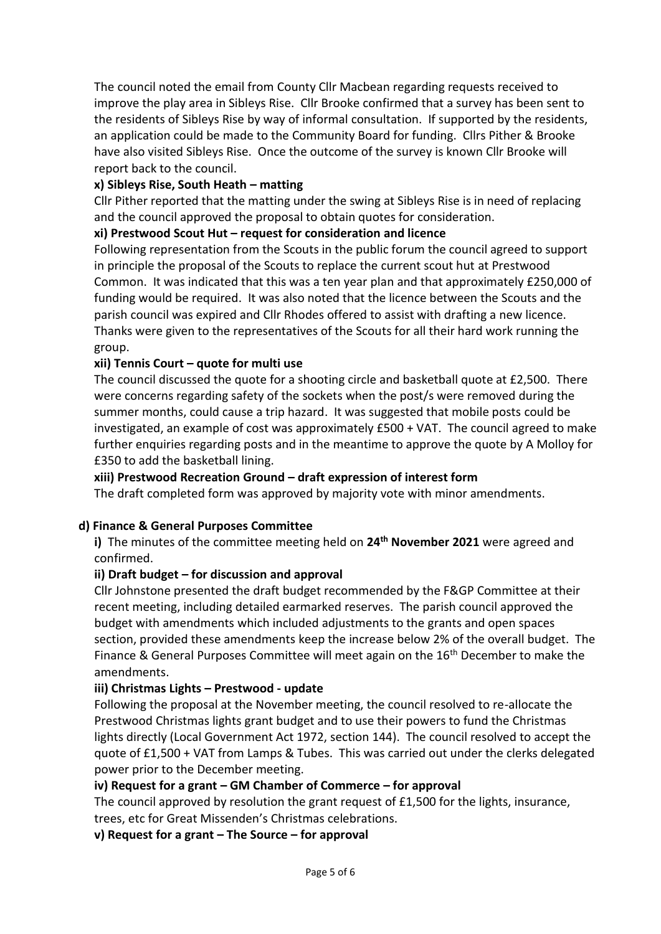The council noted the email from County Cllr Macbean regarding requests received to improve the play area in Sibleys Rise. Cllr Brooke confirmed that a survey has been sent to the residents of Sibleys Rise by way of informal consultation. If supported by the residents, an application could be made to the Community Board for funding. Cllrs Pither & Brooke have also visited Sibleys Rise. Once the outcome of the survey is known Cllr Brooke will report back to the council.

### **x) Sibleys Rise, South Heath – matting**

Cllr Pither reported that the matting under the swing at Sibleys Rise is in need of replacing and the council approved the proposal to obtain quotes for consideration.

### **xi) Prestwood Scout Hut – request for consideration and licence**

Following representation from the Scouts in the public forum the council agreed to support in principle the proposal of the Scouts to replace the current scout hut at Prestwood Common. It was indicated that this was a ten year plan and that approximately £250,000 of funding would be required. It was also noted that the licence between the Scouts and the parish council was expired and Cllr Rhodes offered to assist with drafting a new licence. Thanks were given to the representatives of the Scouts for all their hard work running the group.

### **xii) Tennis Court – quote for multi use**

The council discussed the quote for a shooting circle and basketball quote at £2,500. There were concerns regarding safety of the sockets when the post/s were removed during the summer months, could cause a trip hazard. It was suggested that mobile posts could be investigated, an example of cost was approximately £500 + VAT. The council agreed to make further enquiries regarding posts and in the meantime to approve the quote by A Molloy for £350 to add the basketball lining.

### **xiii) Prestwood Recreation Ground – draft expression of interest form**

The draft completed form was approved by majority vote with minor amendments.

### **d) Finance & General Purposes Committee**

**i)** The minutes of the committee meeting held on **24th November 2021** were agreed and confirmed.

### **ii) Draft budget – for discussion and approval**

Cllr Johnstone presented the draft budget recommended by the F&GP Committee at their recent meeting, including detailed earmarked reserves. The parish council approved the budget with amendments which included adjustments to the grants and open spaces section, provided these amendments keep the increase below 2% of the overall budget. The Finance & General Purposes Committee will meet again on the 16<sup>th</sup> December to make the amendments.

### **iii) Christmas Lights – Prestwood - update**

Following the proposal at the November meeting, the council resolved to re-allocate the Prestwood Christmas lights grant budget and to use their powers to fund the Christmas lights directly (Local Government Act 1972, section 144). The council resolved to accept the quote of £1,500 + VAT from Lamps & Tubes. This was carried out under the clerks delegated power prior to the December meeting.

### **iv) Request for a grant – GM Chamber of Commerce – for approval**

The council approved by resolution the grant request of £1,500 for the lights, insurance, trees, etc for Great Missenden's Christmas celebrations.

### **v) Request for a grant – The Source – for approval**